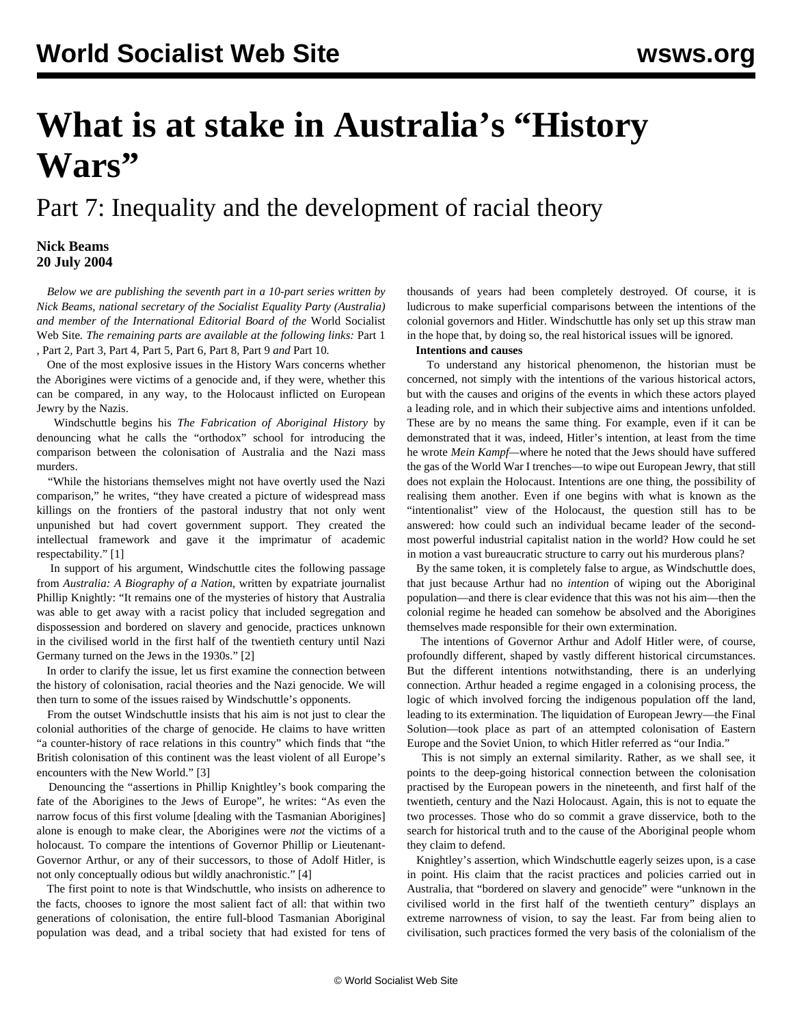# **What is at stake in Australia's "History Wars"**

Part 7: Inequality and the development of racial theory

## **Nick Beams 20 July 2004**

 *Below we are publishing the seventh part in a 10-part series written by Nick Beams, national secretary of the Socialist Equality Party (Australia) and member of the International Editorial Board of the* World Socialist Web Site*. The remaining parts are available at the following links:* [Part 1](/en/articles/2004/07/hiw1-j12.html) *,* [Part 2](/en/articles/2004/07/hiw2-j13.html)*,* [Part 3](/en/articles/2004/07/hiw3-j14.html)*,* [Part 4](/en/articles/2004/07/hiw4-j15.html)*,* [Part 5](/en/articles/2004/07/hiw5-j16.html)*,* [Part 6](/en/articles/2004/07/hiw6-j19.html)*,* [Part 8](/en/articles/2004/07/hiw8-j21.html)*,* [Part 9](/en/articles/2004/07/hiw9-j22.html) *and* [Part 10](/en/articles/2004/07/hw10-j23.html)*.*

 One of the most explosive issues in the History Wars concerns whether the Aborigines were victims of a genocide and, if they were, whether this can be compared, in any way, to the Holocaust inflicted on European Jewry by the Nazis.

 Windschuttle begins his *The Fabrication of Aboriginal History* by denouncing what he calls the "orthodox" school for introducing the comparison between the colonisation of Australia and the Nazi mass murders.

 "While the historians themselves might not have overtly used the Nazi comparison," he writes, "they have created a picture of widespread mass killings on the frontiers of the pastoral industry that not only went unpunished but had covert government support. They created the intellectual framework and gave it the imprimatur of academic respectability." [1]

 In support of his argument, Windschuttle cites the following passage from *Australia: A Biography of a Nation,* written by expatriate journalist Phillip Knightly: "It remains one of the mysteries of history that Australia was able to get away with a racist policy that included segregation and dispossession and bordered on slavery and genocide, practices unknown in the civilised world in the first half of the twentieth century until Nazi Germany turned on the Jews in the 1930s." [2]

 In order to clarify the issue, let us first examine the connection between the history of colonisation, racial theories and the Nazi genocide. We will then turn to some of the issues raised by Windschuttle's opponents.

 From the outset Windschuttle insists that his aim is not just to clear the colonial authorities of the charge of genocide. He claims to have written "a counter-history of race relations in this country" which finds that "the British colonisation of this continent was the least violent of all Europe's encounters with the New World." [3]

 Denouncing the "assertions in Phillip Knightley's book comparing the fate of the Aborigines to the Jews of Europe", he writes: "As even the narrow focus of this first volume [dealing with the Tasmanian Aborigines] alone is enough to make clear, the Aborigines were *not* the victims of a holocaust. To compare the intentions of Governor Phillip or Lieutenant-Governor Arthur, or any of their successors, to those of Adolf Hitler, is not only conceptually odious but wildly anachronistic." [4]

 The first point to note is that Windschuttle, who insists on adherence to the facts, chooses to ignore the most salient fact of all: that within two generations of colonisation, the entire full-blood Tasmanian Aboriginal population was dead, and a tribal society that had existed for tens of thousands of years had been completely destroyed. Of course, it is ludicrous to make superficial comparisons between the intentions of the colonial governors and Hitler. Windschuttle has only set up this straw man in the hope that, by doing so, the real historical issues will be ignored.

#### **Intentions and causes**

 To understand any historical phenomenon, the historian must be concerned, not simply with the intentions of the various historical actors, but with the causes and origins of the events in which these actors played a leading role, and in which their subjective aims and intentions unfolded. These are by no means the same thing. For example, even if it can be demonstrated that it was, indeed, Hitler's intention, at least from the time he wrote *Mein Kampf—*where he noted that the Jews should have suffered the gas of the World War I trenches—to wipe out European Jewry, that still does not explain the Holocaust. Intentions are one thing, the possibility of realising them another. Even if one begins with what is known as the "intentionalist" view of the Holocaust, the question still has to be answered: how could such an individual became leader of the secondmost powerful industrial capitalist nation in the world? How could he set in motion a vast bureaucratic structure to carry out his murderous plans?

 By the same token, it is completely false to argue, as Windschuttle does, that just because Arthur had no *intention* of wiping out the Aboriginal population—and there is clear evidence that this was not his aim—then the colonial regime he headed can somehow be absolved and the Aborigines themselves made responsible for their own extermination.

 The intentions of Governor Arthur and Adolf Hitler were, of course, profoundly different, shaped by vastly different historical circumstances. But the different intentions notwithstanding, there is an underlying connection. Arthur headed a regime engaged in a colonising process, the logic of which involved forcing the indigenous population off the land, leading to its extermination. The liquidation of European Jewry—the Final Solution—took place as part of an attempted colonisation of Eastern Europe and the Soviet Union, to which Hitler referred as "our India."

 This is not simply an external similarity. Rather, as we shall see, it points to the deep-going historical connection between the colonisation practised by the European powers in the nineteenth, and first half of the twentieth, century and the Nazi Holocaust. Again, this is not to equate the two processes. Those who do so commit a grave disservice, both to the search for historical truth and to the cause of the Aboriginal people whom they claim to defend.

 Knightley's assertion, which Windschuttle eagerly seizes upon, is a case in point. His claim that the racist practices and policies carried out in Australia, that "bordered on slavery and genocide" were "unknown in the civilised world in the first half of the twentieth century" displays an extreme narrowness of vision, to say the least. Far from being alien to civilisation, such practices formed the very basis of the colonialism of the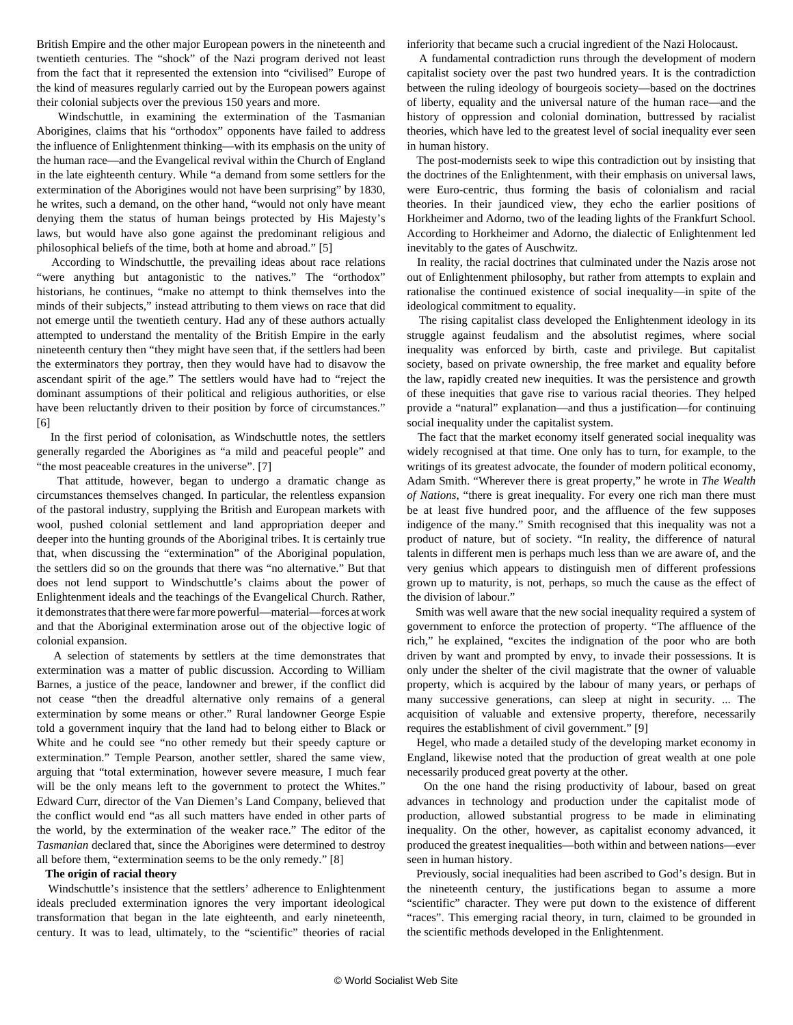British Empire and the other major European powers in the nineteenth and twentieth centuries. The "shock" of the Nazi program derived not least from the fact that it represented the extension into "civilised" Europe of the kind of measures regularly carried out by the European powers against their colonial subjects over the previous 150 years and more.

 Windschuttle, in examining the extermination of the Tasmanian Aborigines, claims that his "orthodox" opponents have failed to address the influence of Enlightenment thinking—with its emphasis on the unity of the human race—and the Evangelical revival within the Church of England in the late eighteenth century. While "a demand from some settlers for the extermination of the Aborigines would not have been surprising" by 1830, he writes, such a demand, on the other hand, "would not only have meant denying them the status of human beings protected by His Majesty's laws, but would have also gone against the predominant religious and philosophical beliefs of the time, both at home and abroad." [5]

 According to Windschuttle, the prevailing ideas about race relations "were anything but antagonistic to the natives." The "orthodox" historians, he continues, "make no attempt to think themselves into the minds of their subjects," instead attributing to them views on race that did not emerge until the twentieth century. Had any of these authors actually attempted to understand the mentality of the British Empire in the early nineteenth century then "they might have seen that, if the settlers had been the exterminators they portray, then they would have had to disavow the ascendant spirit of the age." The settlers would have had to "reject the dominant assumptions of their political and religious authorities, or else have been reluctantly driven to their position by force of circumstances." [6]

 In the first period of colonisation, as Windschuttle notes, the settlers generally regarded the Aborigines as "a mild and peaceful people" and "the most peaceable creatures in the universe". [7]

 That attitude, however, began to undergo a dramatic change as circumstances themselves changed. In particular, the relentless expansion of the pastoral industry, supplying the British and European markets with wool, pushed colonial settlement and land appropriation deeper and deeper into the hunting grounds of the Aboriginal tribes. It is certainly true that, when discussing the "extermination" of the Aboriginal population, the settlers did so on the grounds that there was "no alternative." But that does not lend support to Windschuttle's claims about the power of Enlightenment ideals and the teachings of the Evangelical Church. Rather, it demonstrates that there were far more powerful—material—forces at work and that the Aboriginal extermination arose out of the objective logic of colonial expansion.

 A selection of statements by settlers at the time demonstrates that extermination was a matter of public discussion. According to William Barnes, a justice of the peace, landowner and brewer, if the conflict did not cease "then the dreadful alternative only remains of a general extermination by some means or other." Rural landowner George Espie told a government inquiry that the land had to belong either to Black or White and he could see "no other remedy but their speedy capture or extermination." Temple Pearson, another settler, shared the same view, arguing that "total extermination, however severe measure, I much fear will be the only means left to the government to protect the Whites." Edward Curr, director of the Van Diemen's Land Company, believed that the conflict would end "as all such matters have ended in other parts of the world, by the extermination of the weaker race." The editor of the *Tasmanian* declared that, since the Aborigines were determined to destroy all before them, "extermination seems to be the only remedy." [8]

### **The origin of racial theory**

 Windschuttle's insistence that the settlers' adherence to Enlightenment ideals precluded extermination ignores the very important ideological transformation that began in the late eighteenth, and early nineteenth, century. It was to lead, ultimately, to the "scientific" theories of racial inferiority that became such a crucial ingredient of the Nazi Holocaust.

 A fundamental contradiction runs through the development of modern capitalist society over the past two hundred years. It is the contradiction between the ruling ideology of bourgeois society—based on the doctrines of liberty, equality and the universal nature of the human race—and the history of oppression and colonial domination, buttressed by racialist theories, which have led to the greatest level of social inequality ever seen in human history.

 The post-modernists seek to wipe this contradiction out by insisting that the doctrines of the Enlightenment, with their emphasis on universal laws, were Euro-centric, thus forming the basis of colonialism and racial theories. In their jaundiced view, they echo the earlier positions of Horkheimer and Adorno, two of the leading lights of the Frankfurt School. According to Horkheimer and Adorno, the dialectic of Enlightenment led inevitably to the gates of Auschwitz.

 In reality, the racial doctrines that culminated under the Nazis arose not out of Enlightenment philosophy, but rather from attempts to explain and rationalise the continued existence of social inequality—in spite of the ideological commitment to equality.

 The rising capitalist class developed the Enlightenment ideology in its struggle against feudalism and the absolutist regimes, where social inequality was enforced by birth, caste and privilege. But capitalist society, based on private ownership, the free market and equality before the law, rapidly created new inequities. It was the persistence and growth of these inequities that gave rise to various racial theories. They helped provide a "natural" explanation—and thus a justification—for continuing social inequality under the capitalist system.

 The fact that the market economy itself generated social inequality was widely recognised at that time. One only has to turn, for example, to the writings of its greatest advocate, the founder of modern political economy, Adam Smith. "Wherever there is great property," he wrote in *The Wealth of Nations*, "there is great inequality. For every one rich man there must be at least five hundred poor, and the affluence of the few supposes indigence of the many." Smith recognised that this inequality was not a product of nature, but of society. "In reality, the difference of natural talents in different men is perhaps much less than we are aware of, and the very genius which appears to distinguish men of different professions grown up to maturity, is not, perhaps, so much the cause as the effect of the division of labour."

 Smith was well aware that the new social inequality required a system of government to enforce the protection of property. "The affluence of the rich," he explained, "excites the indignation of the poor who are both driven by want and prompted by envy, to invade their possessions. It is only under the shelter of the civil magistrate that the owner of valuable property, which is acquired by the labour of many years, or perhaps of many successive generations, can sleep at night in security. ... The acquisition of valuable and extensive property, therefore, necessarily requires the establishment of civil government." [9]

 Hegel, who made a detailed study of the developing market economy in England, likewise noted that the production of great wealth at one pole necessarily produced great poverty at the other.

 On the one hand the rising productivity of labour, based on great advances in technology and production under the capitalist mode of production, allowed substantial progress to be made in eliminating inequality. On the other, however, as capitalist economy advanced, it produced the greatest inequalities—both within and between nations—ever seen in human history.

 Previously, social inequalities had been ascribed to God's design. But in the nineteenth century, the justifications began to assume a more "scientific" character. They were put down to the existence of different "races". This emerging racial theory, in turn, claimed to be grounded in the scientific methods developed in the Enlightenment.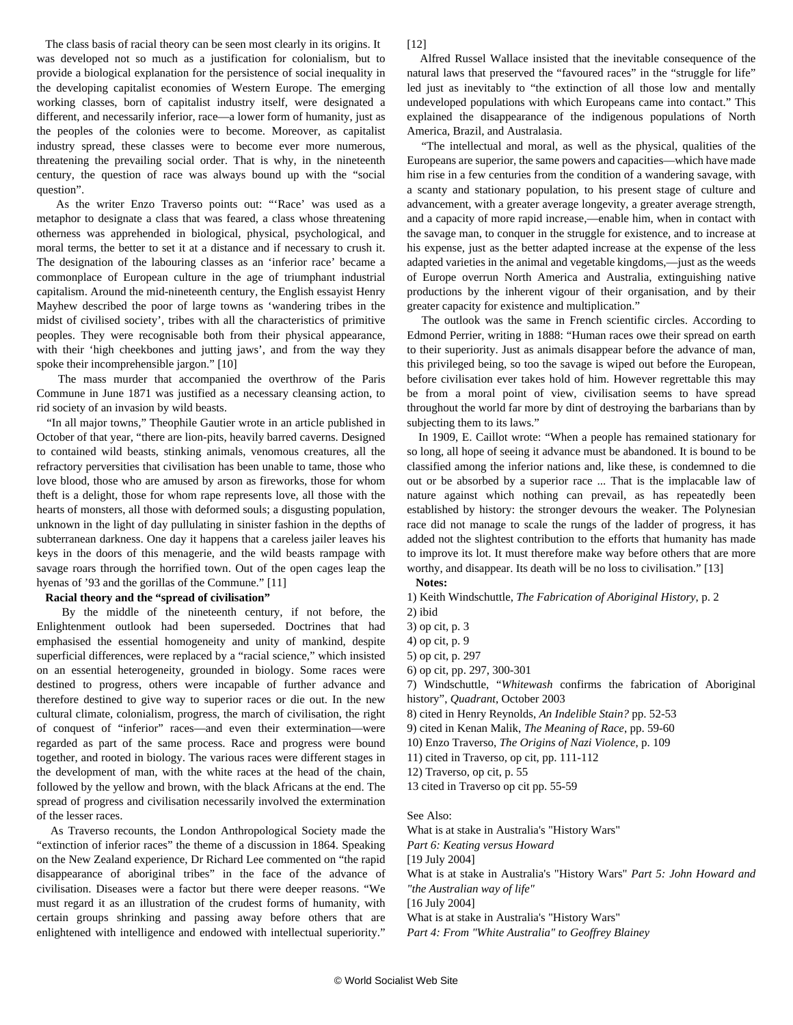The class basis of racial theory can be seen most clearly in its origins. It was developed not so much as a justification for colonialism, but to provide a biological explanation for the persistence of social inequality in the developing capitalist economies of Western Europe. The emerging working classes, born of capitalist industry itself, were designated a different, and necessarily inferior, race—a lower form of humanity, just as the peoples of the colonies were to become. Moreover, as capitalist industry spread, these classes were to become ever more numerous, threatening the prevailing social order. That is why, in the nineteenth century, the question of race was always bound up with the "social question".

 As the writer Enzo Traverso points out: "'Race' was used as a metaphor to designate a class that was feared, a class whose threatening otherness was apprehended in biological, physical, psychological, and moral terms, the better to set it at a distance and if necessary to crush it. The designation of the labouring classes as an 'inferior race' became a commonplace of European culture in the age of triumphant industrial capitalism. Around the mid-nineteenth century, the English essayist Henry Mayhew described the poor of large towns as 'wandering tribes in the midst of civilised society', tribes with all the characteristics of primitive peoples. They were recognisable both from their physical appearance, with their 'high cheekbones and jutting jaws', and from the way they spoke their incomprehensible jargon." [10]

 The mass murder that accompanied the overthrow of the Paris Commune in June 1871 was justified as a necessary cleansing action, to rid society of an invasion by wild beasts.

 "In all major towns," Theophile Gautier wrote in an article published in October of that year, "there are lion-pits, heavily barred caverns. Designed to contained wild beasts, stinking animals, venomous creatures, all the refractory perversities that civilisation has been unable to tame, those who love blood, those who are amused by arson as fireworks, those for whom theft is a delight, those for whom rape represents love, all those with the hearts of monsters, all those with deformed souls; a disgusting population, unknown in the light of day pullulating in sinister fashion in the depths of subterranean darkness. One day it happens that a careless jailer leaves his keys in the doors of this menagerie, and the wild beasts rampage with savage roars through the horrified town. Out of the open cages leap the hyenas of '93 and the gorillas of the Commune." [11]

#### **Racial theory and the "spread of civilisation"**

 By the middle of the nineteenth century, if not before, the Enlightenment outlook had been superseded. Doctrines that had emphasised the essential homogeneity and unity of mankind, despite superficial differences, were replaced by a "racial science," which insisted on an essential heterogeneity, grounded in biology. Some races were destined to progress, others were incapable of further advance and therefore destined to give way to superior races or die out. In the new cultural climate, colonialism, progress, the march of civilisation, the right of conquest of "inferior" races—and even their extermination—were regarded as part of the same process. Race and progress were bound together, and rooted in biology. The various races were different stages in the development of man, with the white races at the head of the chain, followed by the yellow and brown, with the black Africans at the end. The spread of progress and civilisation necessarily involved the extermination of the lesser races.

 As Traverso recounts, the London Anthropological Society made the "extinction of inferior races" the theme of a discussion in 1864. Speaking on the New Zealand experience, Dr Richard Lee commented on "the rapid disappearance of aboriginal tribes" in the face of the advance of civilisation. Diseases were a factor but there were deeper reasons. "We must regard it as an illustration of the crudest forms of humanity, with certain groups shrinking and passing away before others that are enlightened with intelligence and endowed with intellectual superiority."

 Alfred Russel Wallace insisted that the inevitable consequence of the natural laws that preserved the "favoured races" in the "struggle for life" led just as inevitably to "the extinction of all those low and mentally undeveloped populations with which Europeans came into contact." This explained the disappearance of the indigenous populations of North America, Brazil, and Australasia.

 "The intellectual and moral, as well as the physical, qualities of the Europeans are superior, the same powers and capacities—which have made him rise in a few centuries from the condition of a wandering savage, with a scanty and stationary population, to his present stage of culture and advancement, with a greater average longevity, a greater average strength, and a capacity of more rapid increase,—enable him, when in contact with the savage man, to conquer in the struggle for existence, and to increase at his expense, just as the better adapted increase at the expense of the less adapted varieties in the animal and vegetable kingdoms,—just as the weeds of Europe overrun North America and Australia, extinguishing native productions by the inherent vigour of their organisation, and by their greater capacity for existence and multiplication."

 The outlook was the same in French scientific circles. According to Edmond Perrier, writing in 1888: "Human races owe their spread on earth to their superiority. Just as animals disappear before the advance of man, this privileged being, so too the savage is wiped out before the European, before civilisation ever takes hold of him. However regrettable this may be from a moral point of view, civilisation seems to have spread throughout the world far more by dint of destroying the barbarians than by subjecting them to its laws."

 In 1909, E. Caillot wrote: "When a people has remained stationary for so long, all hope of seeing it advance must be abandoned. It is bound to be classified among the inferior nations and, like these, is condemned to die out or be absorbed by a superior race ... That is the implacable law of nature against which nothing can prevail, as has repeatedly been established by history: the stronger devours the weaker. The Polynesian race did not manage to scale the rungs of the ladder of progress, it has added not the slightest contribution to the efforts that humanity has made to improve its lot. It must therefore make way before others that are more worthy, and disappear. Its death will be no loss to civilisation." [13]

**Notes:**

[12]

1) Keith Windschuttle, *The Fabrication of Aboriginal History*, p. 2

- 2) ibid
- 3) op cit, p. 3
- 4) op cit, p. 9
- 5) op cit, p. 297
- 6) op cit, pp. 297, 300-301

7) Windschuttle, "*Whitewash* confirms the fabrication of Aboriginal history", *Quadrant*, October 2003

- 8) cited in Henry Reynolds, *An Indelible Stain?* pp. 52-53
- 9) cited in Kenan Malik, *The Meaning of Race*, pp. 59-60
- 10) Enzo Traverso, *The Origins of Nazi Violence*, p. 109
- 11) cited in Traverso, op cit, pp. 111-112
- 12) Traverso, op cit, p. 55
- 13 cited in Traverso op cit pp. 55-59

See Also:

[What is at stake in Australia's "History Wars"](/share/page/site/wsws/hiw6-j19.shtml)

*[Part 6: Keating versus Howard](/share/page/site/wsws/hiw6-j19.shtml)*

[19 July 2004]

[What is at stake in Australia's "History Wars"](/share/page/site/wsws/hiw5-j16.shtml) *[Part 5: John Howard and](/share/page/site/wsws/hiw5-j16.shtml)*

*["the Australian way of life"](/share/page/site/wsws/hiw5-j16.shtml)*

[16 July 2004]

[What is at stake in Australia's "History Wars"](/share/page/site/wsws/hiw4-j15.shtml)

*[Part 4: From "White Australia" to Geoffrey Blainey](/share/page/site/wsws/hiw4-j15.shtml)*